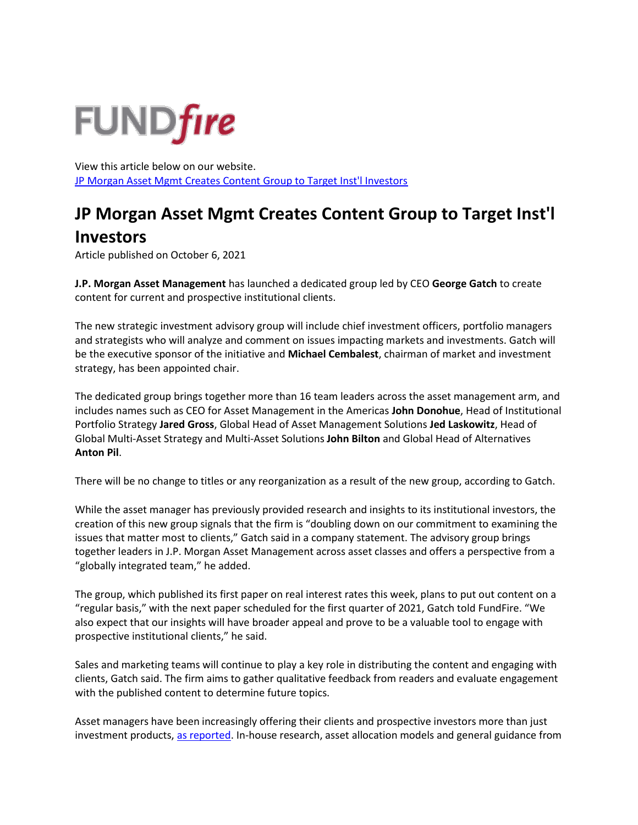## **FUNDfire**

View this article below on our website. [JP Morgan Asset Mgmt Creates Content Group to Target Inst'l Investors](https://fundfire.com/c/3349124/424364/morgan_asset_mgmt_creates_content_group_target_inst_investors?referrer_module=emailForwarded&module_order=0) 

## **JP Morgan Asset Mgmt Creates Content Group to Target Inst'l**

## **Investors**

Article published on October 6, 2021

**J.P. Morgan Asset Management** has launched a dedicated group led by CEO **George Gatch** to create content for current and prospective institutional clients.

The new strategic investment advisory group will include chief investment officers, portfolio managers and strategists who will analyze and comment on issues impacting markets and investments. Gatch will be the executive sponsor of the initiative and **Michael Cembalest**, chairman of market and investment strategy, has been appointed chair.

The dedicated group brings together more than 16 team leaders across the asset management arm, and includes names such as CEO for Asset Management in the Americas **John Donohue**, Head of Institutional Portfolio Strategy **Jared Gross**, Global Head of Asset Management Solutions **Jed Laskowitz**, Head of Global Multi-Asset Strategy and Multi-Asset Solutions **John Bilton** and Global Head of Alternatives **Anton Pil**.

There will be no change to titles or any reorganization as a result of the new group, according to Gatch.

While the asset manager has previously provided research and insights to its institutional investors, the creation of this new group signals that the firm is "doubling down on our commitment to examining the issues that matter most to clients," Gatch said in a company statement. The advisory group brings together leaders in J.P. Morgan Asset Management across asset classes and offers a perspective from a "globally integrated team," he added.

The group, which published its first paper on real interest rates this week, plans to put out content on a "regular basis," with the next paper scheduled for the first quarter of 2021, Gatch told FundFire. "We also expect that our insights will have broader appeal and prove to be a valuable tool to engage with prospective institutional clients," he said.

Sales and marketing teams will continue to play a key role in distributing the content and engaging with clients, Gatch said. The firm aims to gather qualitative feedback from readers and evaluate engagement with the published content to determine future topics.

Asset managers have been increasingly offering their clients and prospective investors more than just investment products, [as reported.](https://www.fundfire.com/c/3202374/403874?referrer_module=article&highlight=managers%20offering) In-house research, asset allocation models and general guidance from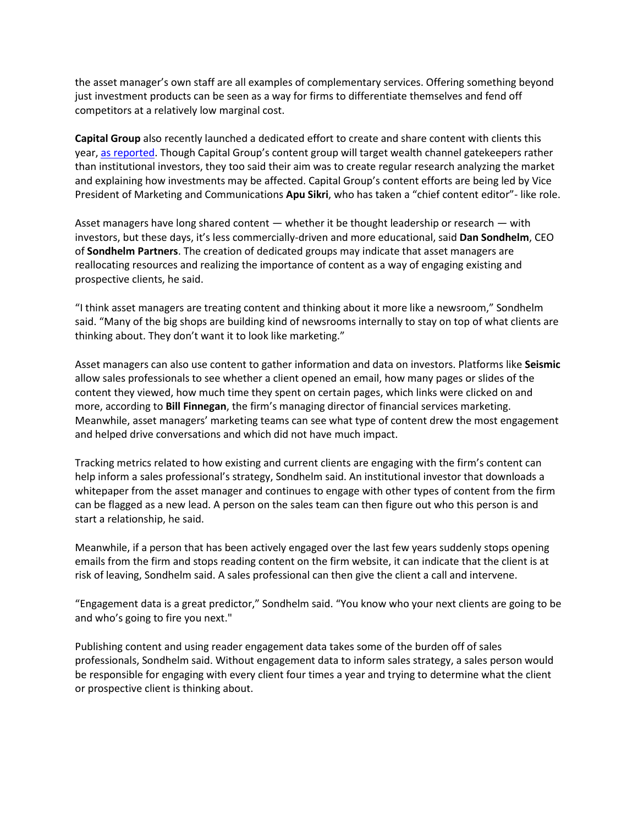the asset manager's own staff are all examples of complementary services. Offering something beyond just investment products can be seen as a way for firms to differentiate themselves and fend off competitors at a relatively low marginal cost.

**Capital Group** also recently launched a dedicated effort to create and share content with clients this year, [as reported](https://www.fundfire.com/c/3347124/424354/group_targets_wealth_channel_gatekeepers_with_tailored_content?referrer_module=article&module_order=3). Though Capital Group's content group will target wealth channel gatekeepers rather than institutional investors, they too said their aim was to create regular research analyzing the market and explaining how investments may be affected. Capital Group's content efforts are being led by Vice President of Marketing and Communications **Apu Sikri**, who has taken a "chief content editor"- like role.

Asset managers have long shared content — whether it be thought leadership or research — with investors, but these days, it's less commercially-driven and more educational, said **Dan Sondhelm**, CEO of **Sondhelm Partners**. The creation of dedicated groups may indicate that asset managers are reallocating resources and realizing the importance of content as a way of engaging existing and prospective clients, he said.

"I think asset managers are treating content and thinking about it more like a newsroom," Sondhelm said. "Many of the big shops are building kind of newsrooms internally to stay on top of what clients are thinking about. They don't want it to look like marketing."

Asset managers can also use content to gather information and data on investors. Platforms like **Seismic**  allow sales professionals to see whether a client opened an email, how many pages or slides of the content they viewed, how much time they spent on certain pages, which links were clicked on and more, according to **Bill Finnegan**, the firm's managing director of financial services marketing. Meanwhile, asset managers' marketing teams can see what type of content drew the most engagement and helped drive conversations and which did not have much impact.

Tracking metrics related to how existing and current clients are engaging with the firm's content can help inform a sales professional's strategy, Sondhelm said. An institutional investor that downloads a whitepaper from the asset manager and continues to engage with other types of content from the firm can be flagged as a new lead. A person on the sales team can then figure out who this person is and start a relationship, he said.

Meanwhile, if a person that has been actively engaged over the last few years suddenly stops opening emails from the firm and stops reading content on the firm website, it can indicate that the client is at risk of leaving, Sondhelm said. A sales professional can then give the client a call and intervene.

"Engagement data is a great predictor," Sondhelm said. "You know who your next clients are going to be and who's going to fire you next."

Publishing content and using reader engagement data takes some of the burden off of sales professionals, Sondhelm said. Without engagement data to inform sales strategy, a sales person would be responsible for engaging with every client four times a year and trying to determine what the client or prospective client is thinking about.